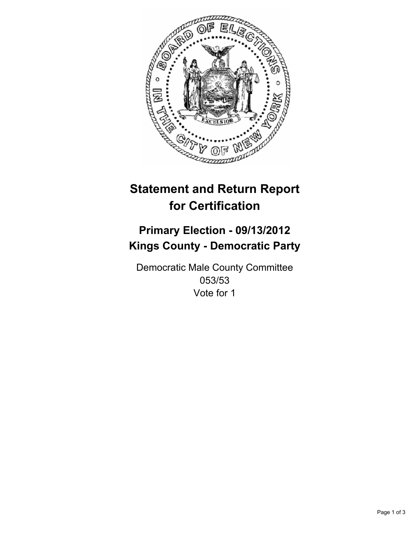

# **Statement and Return Report for Certification**

## **Primary Election - 09/13/2012 Kings County - Democratic Party**

Democratic Male County Committee 053/53 Vote for 1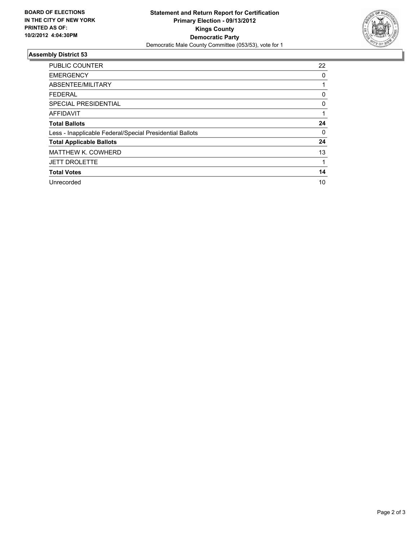

#### **Assembly District 53**

| <b>PUBLIC COUNTER</b>                                    | 22 |
|----------------------------------------------------------|----|
| <b>EMERGENCY</b>                                         | 0  |
| ABSENTEE/MILITARY                                        |    |
| <b>FEDERAL</b>                                           | 0  |
| SPECIAL PRESIDENTIAL                                     | 0  |
| <b>AFFIDAVIT</b>                                         |    |
| <b>Total Ballots</b>                                     | 24 |
| Less - Inapplicable Federal/Special Presidential Ballots | 0  |
| <b>Total Applicable Ballots</b>                          | 24 |
| <b>MATTHEW K. COWHERD</b>                                | 13 |
| <b>JETT DROLETTE</b>                                     |    |
| <b>Total Votes</b>                                       | 14 |
| Unrecorded                                               | 10 |